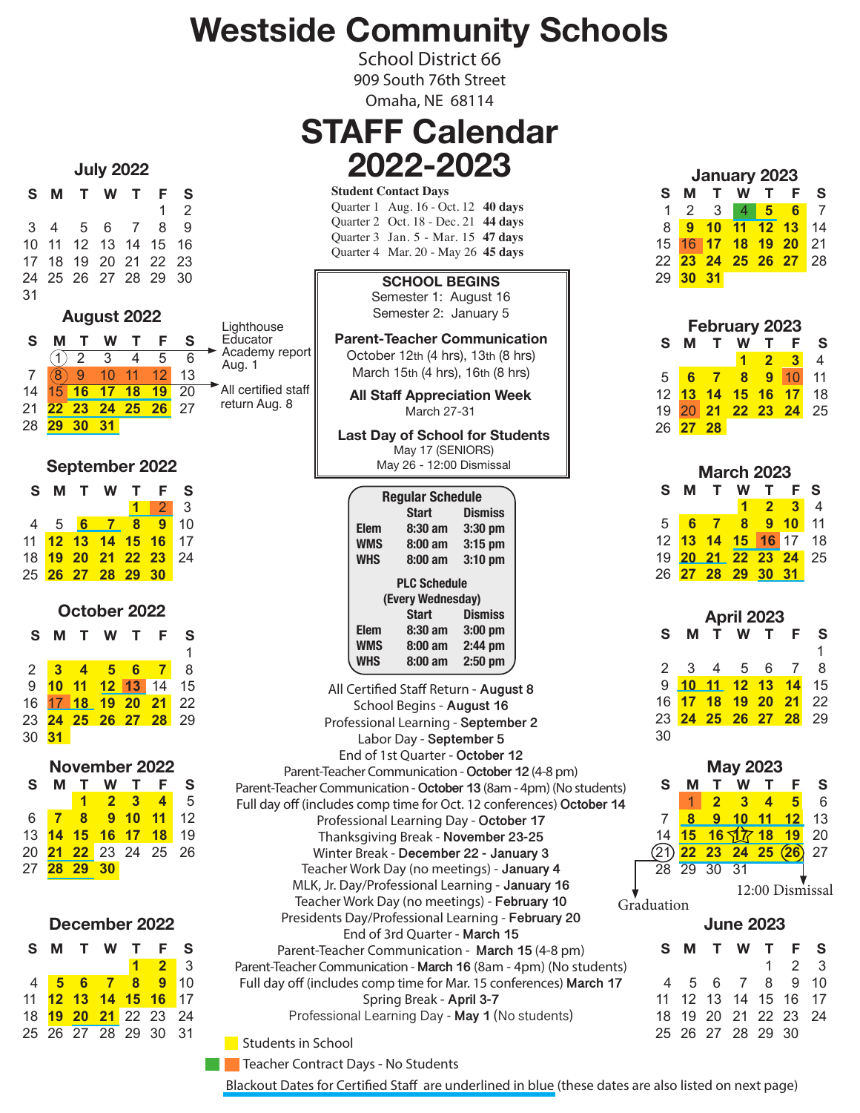## **Westside Community Schools**

School District 66 909 South 76th Street Omaha, NE 68114

#### **STAFF Calendar 2022-2023**

#### **S M T W T F S** 1 2 3 4 5 6 7 8 9 10 11 12 13 14 15 16 17 18 19 20 21 22 23 24 25 26 27 28 29 30 31 **August 2022**

**July 2022**

|    |    |                 |          |    |    | Lighthouse               |
|----|----|-----------------|----------|----|----|--------------------------|
|    |    | W               |          |    |    | Educator                 |
|    |    | 3               |          | 5  | 6  | Academy report<br>Aug. 1 |
|    |    | $10-1$          | 11       |    | 13 |                          |
| 14 | 16 | 17 <sup>2</sup> | 18       | 19 | 20 | All certified staff      |
|    | 23 |                 | 24 25 26 |    | 27 | return Aug. 8            |
|    |    |                 |          |    |    |                          |

**September 2022**

|  |                   | S M T W T F S        |  |
|--|-------------------|----------------------|--|
|  |                   | $1 \mid 2 \mid 3$    |  |
|  |                   | 4 5 6 7 8 9 10       |  |
|  |                   | 11 12 13 14 15 16 17 |  |
|  |                   | 18 19 20 21 22 23 24 |  |
|  | 25 26 27 28 29 30 |                      |  |
|  |                   |                      |  |

**October 2022 S M T W T F S**  $1$ 2 **3 4 5 6 7** 8 9 **10 11 12 13** 14 15 16 17 **18 19 20 21** 22 23 **24 25 26 27 28** 29 30 **31**

| November 2022 |          |             |                       |              |       |      |  |  |  |  |  |
|---------------|----------|-------------|-----------------------|--------------|-------|------|--|--|--|--|--|
| S             |          | Т.          | w                     | $\mathbf{T}$ | F     | S    |  |  |  |  |  |
|               |          | $\mathbf 1$ |                       | $2 \quad 3$  | 4     | 5    |  |  |  |  |  |
| 6             |          |             | 8 9 10                |              | $-11$ | 12   |  |  |  |  |  |
|               |          |             | 13 14 15 16 17        |              | $-18$ | 19   |  |  |  |  |  |
| 20            |          |             | <b>21 22</b> 23 24 25 |              |       | - 26 |  |  |  |  |  |
|               | 27 28 29 |             | 30                    |              |       |      |  |  |  |  |  |

| December 2022 |  |
|---------------|--|
|---------------|--|

|  | S M T W T F S        |                     |  |
|--|----------------------|---------------------|--|
|  |                      | $1 \quad 2 \quad 3$ |  |
|  | 4 5 6 7 8 9 10       |                     |  |
|  | 11 12 13 14 15 16 17 |                     |  |
|  | 18 19 20 21 22 23 24 |                     |  |
|  | 25 26 27 28 29 30 31 |                     |  |

| <b>Student Contact Days</b> |                                     |  |  |  |  |  |  |  |
|-----------------------------|-------------------------------------|--|--|--|--|--|--|--|
|                             | Quarter 1 Aug. 16 - Oct. 12 40 days |  |  |  |  |  |  |  |
|                             | Quarter 2 Oct. 18 - Dec. 21 44 days |  |  |  |  |  |  |  |
|                             | Quarter 3 Jan. 5 - Mar. 15 47 days  |  |  |  |  |  |  |  |
|                             | Quarter 4 Mar. 20 - May 26 45 days  |  |  |  |  |  |  |  |

**SCHOOL BEGINS** Semester 1: August 16

Semester 2: January 5

**Parent-Teacher Communication** October 12th (4 hrs), 13th (8 hrs) March 15th (4 hrs), 16th (8 hrs)

**All Staff Appreciation Week** March 27-31

**Last Day of School for Students** May 17 (SENIORS) May 26 - 12:00 Dismissal

| <b>Regular Schedule</b> |                   |                |  |  |  |  |  |
|-------------------------|-------------------|----------------|--|--|--|--|--|
|                         | Start             | <b>Dismiss</b> |  |  |  |  |  |
| <b>Elem</b>             | $8:30$ am         | 3:30 pm        |  |  |  |  |  |
| <b>WMS</b>              | $8:00 \text{ am}$ | $3:15$ pm      |  |  |  |  |  |
| <b>WHS</b>              | $8:00 \text{ am}$ | $3:10$ pm      |  |  |  |  |  |
| <b>PLC Schedule</b>     |                   |                |  |  |  |  |  |
|                         | (Every Wednesday) |                |  |  |  |  |  |
|                         | Start             | <b>Dismiss</b> |  |  |  |  |  |
| <b>Elem</b>             | $8:30$ am         | $3:00$ pm      |  |  |  |  |  |
| <b>WMS</b>              | $8:00 \text{ am}$ | $2:44$ pm      |  |  |  |  |  |
| <b>WHS</b>              | $8:00 \text{ am}$ | $2:50$ pm      |  |  |  |  |  |

All Certified Staff Return - **August 8**  School Begins - **August 16** Professional Learning - **September 2** Labor Day - **September 5** End of 1st Quarter - **October 12** Parent-Teacher Communication - **October 12** (4-8 pm) Parent-Teacher Communication - **October 13** (8am - 4pm) (No students) Full day off (includes comp time for Oct. 12 conferences) **October 14** Professional Learning Day - **October 17** Thanksgiving Break - **November 23-25** Winter Break - **December 22 - January 3** Teacher Work Day (no meetings) - **January 4** MLK, Jr. Day/Professional Learning - **January 16** Teacher Work Day (no meetings) - **February 10** Presidents Day/Professional Learning - **February 20** End of 3rd Quarter - **March 15** Parent-Teacher Communication - **March 15** (4-8 pm) Parent-Teacher Communication - **March 16** (8am - 4pm) (No students) Full day off (includes comp time for Mar. 15 conferences) **March 17** Spring Break - **April 3-7** Professional Learning Day - **May 1** (No students)

| <b>January 2023</b> |                       |  |                   |  |                                   |                   |  |  |  |  |  |
|---------------------|-----------------------|--|-------------------|--|-----------------------------------|-------------------|--|--|--|--|--|
| S                   |                       |  | M T W T F         |  |                                   | - S               |  |  |  |  |  |
|                     |                       |  |                   |  | 1 2 3 4 5 6                       | $^{\circ}$ 7      |  |  |  |  |  |
|                     |                       |  |                   |  | 8 9 10 11 12 13 14                |                   |  |  |  |  |  |
|                     |                       |  | 15 16 17 18 19 20 |  |                                   | $\blacksquare$ 21 |  |  |  |  |  |
|                     |                       |  |                   |  | 22 <mark>23 24 25 26 27</mark> 28 |                   |  |  |  |  |  |
|                     | 29 <mark>30 31</mark> |  |                   |  |                                   |                   |  |  |  |  |  |

| <b>February 2023</b> |              |        |                      |            |                 |    |  |  |  |  |  |
|----------------------|--------------|--------|----------------------|------------|-----------------|----|--|--|--|--|--|
| S                    | м            | $\top$ | W                    | т          | E               | S  |  |  |  |  |  |
|                      |              |        |                      | $1\quad 2$ | $\blacksquare$  | 4  |  |  |  |  |  |
| 5                    | - 6 -        |        | 7 8                  | 9          | 10 <sup>1</sup> | 11 |  |  |  |  |  |
|                      |              |        | 12 13 14 15 16       |            | $-17$           | 18 |  |  |  |  |  |
|                      |              |        | 19 20 21 22 23 24 25 |            |                 |    |  |  |  |  |  |
| 26                   | <b>27 28</b> |        |                      |            |                 |    |  |  |  |  |  |

| <b>March 2023</b> |  |  |                      |                   |       |   |  |  |  |  |  |
|-------------------|--|--|----------------------|-------------------|-------|---|--|--|--|--|--|
| S.                |  |  | <b>M T W T</b>       |                   | - E - | S |  |  |  |  |  |
|                   |  |  |                      | $1\quad 2\quad 3$ |       |   |  |  |  |  |  |
|                   |  |  | 5 6 7 8 9 10 11      |                   |       |   |  |  |  |  |  |
|                   |  |  | 12 13 14 15 16 17 18 |                   |       |   |  |  |  |  |  |
|                   |  |  | 19 20 21 22 23 24 25 |                   |       |   |  |  |  |  |  |
|                   |  |  | 26 27 28 29 30 31    |                   |       |   |  |  |  |  |  |
|                   |  |  |                      |                   |       |   |  |  |  |  |  |

| <b>April 2023</b> |  |  |  |             |                                                                                                                       |  |  |  |  |  |  |
|-------------------|--|--|--|-------------|-----------------------------------------------------------------------------------------------------------------------|--|--|--|--|--|--|
| м                 |  |  |  | $\mathsf F$ | S                                                                                                                     |  |  |  |  |  |  |
|                   |  |  |  |             | 1                                                                                                                     |  |  |  |  |  |  |
|                   |  |  |  |             | - 8                                                                                                                   |  |  |  |  |  |  |
|                   |  |  |  |             |                                                                                                                       |  |  |  |  |  |  |
|                   |  |  |  |             |                                                                                                                       |  |  |  |  |  |  |
|                   |  |  |  |             |                                                                                                                       |  |  |  |  |  |  |
|                   |  |  |  |             |                                                                                                                       |  |  |  |  |  |  |
|                   |  |  |  |             | T W T<br>2 3 4 5 6 7<br>9 10 11 12 13 14 15<br>16 <mark>17 18 19 20 21</mark> 22<br>23 <mark>24 25 26 27 28</mark> 29 |  |  |  |  |  |  |

|                         |            | <b>May 2023</b> |             |    |  |                                    |                 |  |  |  |
|-------------------------|------------|-----------------|-------------|----|--|------------------------------------|-----------------|--|--|--|
| s)                      | S          |                 |             |    |  | F                                  | S               |  |  |  |
| $\overline{\mathbf{4}}$ |            |                 | 2           | 3  |  | 5                                  | 6               |  |  |  |
|                         |            | 8               | 9           | 10 |  | $11 12$                            | 13              |  |  |  |
|                         | 14         |                 |             |    |  |                                    | 20              |  |  |  |
|                         |            |                 |             |    |  | 15 16 17 18 19<br>22 23 24 25 (26) | 27              |  |  |  |
|                         |            |                 | 28 29 30 31 |    |  |                                    |                 |  |  |  |
|                         |            |                 |             |    |  |                                    | 12:00 Dismissal |  |  |  |
|                         | Graduation |                 |             |    |  |                                    |                 |  |  |  |

| <b>June 2023</b> |  |  |                      |  |       |  |
|------------------|--|--|----------------------|--|-------|--|
|                  |  |  | S M T W T F S        |  |       |  |
|                  |  |  |                      |  | 1 2 3 |  |
|                  |  |  | 4 5 6 7 8 9 10       |  |       |  |
|                  |  |  | 11 12 13 14 15 16 17 |  |       |  |
|                  |  |  | 18 19 20 21 22 23 24 |  |       |  |
|                  |  |  | 25 26 27 28 29 30    |  |       |  |

Students in School

**The Teacher Contract Days - No Students** 

Blackout Dates for Certified Staff are underlined in blue (these dates are also listed on next page)